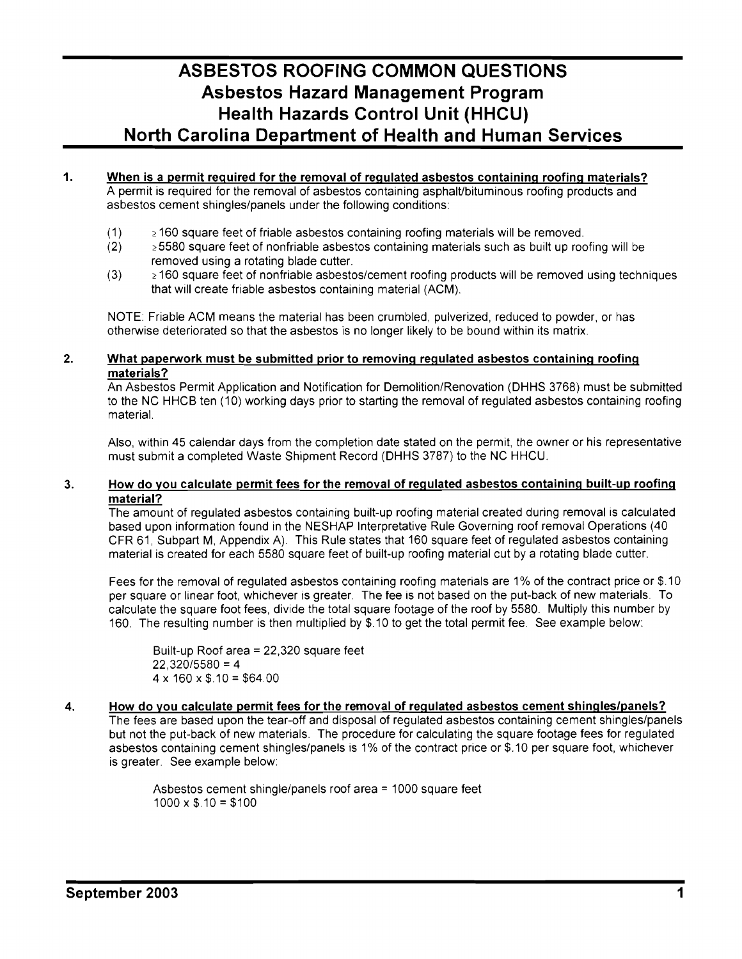# **ASBESTOS ROOFING COMMON QUESTIONS Asbestos Hazard Management Program Health Hazards Control Unit (HHCU) North Carolina Department of Health and Human Services**

- 1. When is a permit required for the removal of regulated asbestos containing roofing materials? A permit is required for the removal of asbestos containing asphalt/bituminous roofing products and asbestos cement shingles/panels under the following conditions:
	- $(1)$   $\geq$  160 square feet of friable asbestos containing roofing materials will be removed.
	- $(2)$   $\geq$  5580 square feet of nonfriable asbestos containing materials such as built up roofing will be removed using a rotating blade cutter.
	- $(3)$   $\geq 160$  square feet of nonfriable asbestos/cement roofing products will be removed using techniques that will create friable asbestos containing material (ACM).

NOTE: Friable ACM means the material has been crumbled, pulverized, reduced to powder, or has otherwise deteriorated so that the asbestos is no longer likely to be bound within its matrix.

#### 2. What paperwork must be submitted prior to removing regulated asbestos containing roofing materials?

An Asbestos Permit Application and Notification for Demolition/Renovation (DHHS 3768) must be submitted to the NC HHCB ten (10) working days prior to starting the removal of regulated asbestos containing roofing material.

Also, within 45 calendar days from the completion date stated on the permit, the owner or his representative must submit a completed Waste Shipment Record (DHHS 3787) to the NC HHCU.

#### 3. How do you calculate permit fees for the removal of regulated asbestos containing built-up roofing material?

The amount of regulated asbestos containing built-up roofing material created during removal is calculated based upon information found in the NESHAP Interpretative Rule Governing roof removal Operations (40 CFR 61, Subpart M, Appendix A). This Rule states that 160 square feet of regulated asbestos containing material is created for each 5580 square feet of built-up roofing material cut by a rotating blade cutter.

Fees for the removal of regulated asbestos containing roofing materials are 1% of the contract price or \$.10 per square or linear foot, whichever is greater. The fee is not based on the put-back of new materials. To calculate the square foot fees, divide the total square footage of the roof by 5580. Multiply this number by 160. The resulting number is then multiplied by \$.10 to get the total permit fee. See example below:

Built-up Roof area =22,320 square feet  $22.320/5580 = 4$  $4 \times 160 \times$  \$.10 = \$64.00

#### 4. How do you calculate permit fees for the removal of regulated asbestos cement shingles/panels?

The fees are based upon the tear-off and disposal of regulated asbestos containing cement shingles/panels but not the put-back of new materials. The procedure for calculating the square footage fees for regulated asbestos containing cement shingles/panels is 1% of the contract price or \$.10 per square foot, whichever is greater. See example below:

> Asbestos cement shingle/panels roof area = 1000 square feet  $1000 \times$  \$.10 = \$100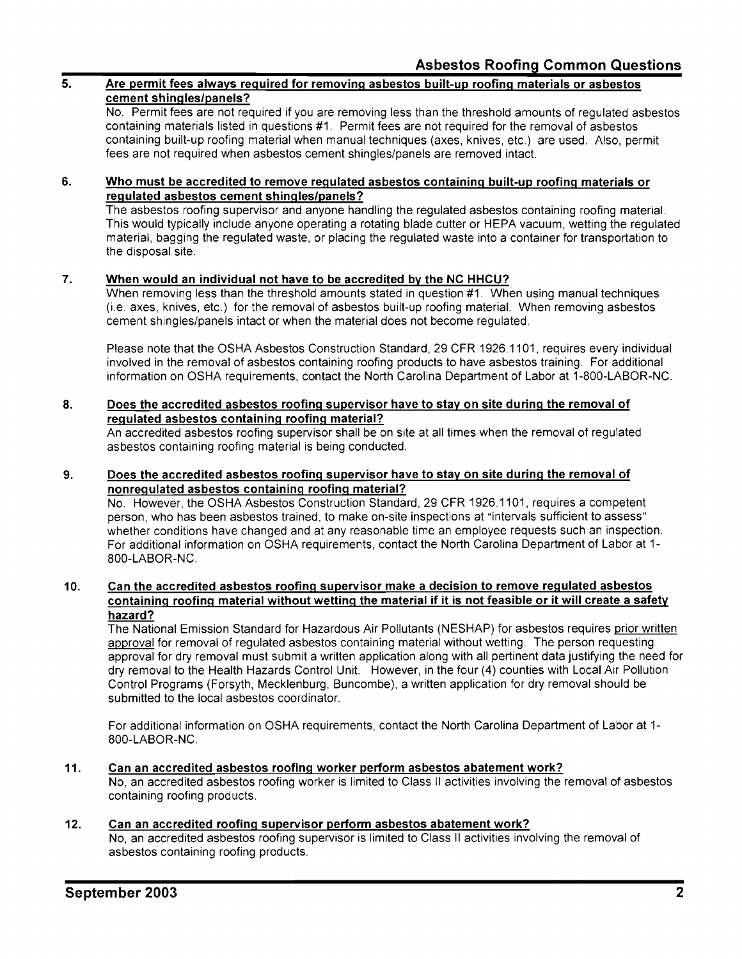### **5. Are permit fees always required for removing asbestos built-up roofing materials or asbestos cement shingles/panels?**

No. Permit fees are not required if you are removing less than the threshold amounts of regulated asbestos containing materials listed in questions #1. Permit fees are not required for the removal of asbestos containing built-up roofing material when manual techniques (axes, knives, etc.) are used. Also, permit fees are not required when asbestos cement shingles/panels are removed intact.

#### **6. Who must be accredited to remove regulated asbestos containing built-up roofing materials or regulated asbestos cement shingles/panels?**

The asbestos roofing supervisor and anyone handling the regulated asbestos containing roofing material. This would typically include anyone operating a rotating blade cutter or HEPA vacuum, wetting the regulated material, bagging the regulated waste, or placing the regulated waste into a container for transportation to the disposal site.

#### **7. When would an individual not have to be accredited by the NC HHCU?**

When removing less than the threshold amounts stated in question #1. When using manual techniques (i.e. axes, knives, etc.) for the removal of asbestos built-up roofing material. When removing asbestos cement shingles/panels intact or when the material does not become regulated.

Please note that the OSHA Asbestos Construction Standard, 29 CFR 1926.1101, requires every individual involved in the removal of asbestos containing roofing products to have asbestos training. For additional information on OSHA requirements, contact the North Carolina Department of Labor at 1-800-LABOR-NC.

#### **8. Does the accredited asbestos roofing supervisor have to stay on site during the removal of regulated asbestos containing roofing material?**

An accredited asbestos roofing supervisor shall be on site at all times when the removal of regulated asbestos containing roofing material is being conducted.

#### **9. Does the accredited asbestos roofing supervisor have to stay on site during the removal of nonregulated asbestos containing roofing material?**

No. However, the OSHA Asbestos Construction Standard, 29 CFR 1926.1101, requires a competent person, who has been asbestos trained, to make on-site inspections at "intervals sufficient to assess" whether conditions have changed and at any reasonable time an employee requests such an inspection. For additional information on OSHA requirements, contact the North Carolina Department of Labor at 1 800-LABOR-NC.

## **10. Can the accredited asbestos roofing supervisor make a decision to remove regulated asbestos containing roofing material without wetting the material if it is not feasible or it will create a safety hazard?**

The National Emission Standard for Hazardous Air Pollutants (NESHAP) for asbestos requires prior written approval for removal of regulated asbestos containing material without wetting. The person requesting approval for dry removal must submit a written application along with all pertinent data justifying the need for dry removal to the Health Hazards Control Unit. However, in the four (4) counties with Local Air Pollution Control Programs (Forsyth, Mecklenburg, Buncombe), a written application for dry removal should be submitted to the local asbestos coordinator.

For additional information on OSHA requirements, contact the North Carolina Department of Labor at 1 800-LABOR-NC.

## **11. Can an accredited asbestos roofing worker perform asbestos abatement work?**  No, an accredited asbestos roofing worker is limited to Class II activities involving the removal of asbestos containing roofing products.

#### **12. Can an accredited roofing supervisor perform asbestos abatement work?**

No, an accredited asbestos roofing supervisor is limited to Class II activities involving the removal of asbestos containing roofing products.